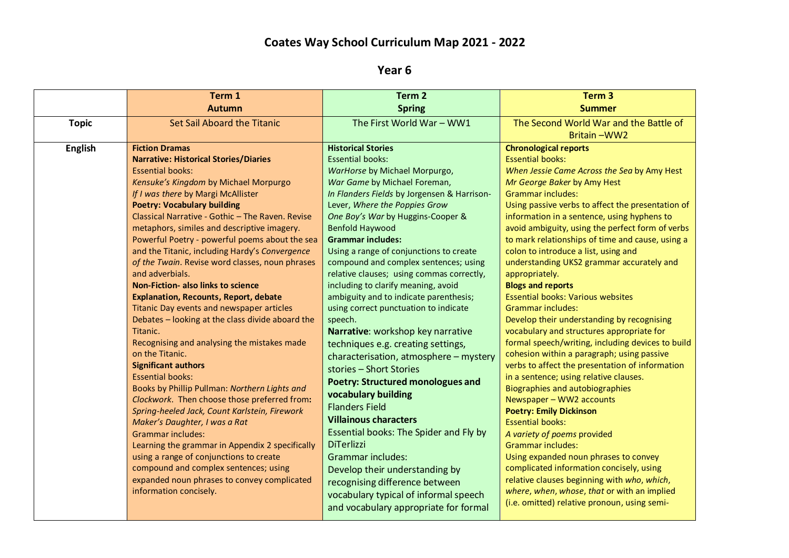## **Coates Way School Curriculum Map 2021 - 2022**

**Year 6**

|                | Term 1                                           | Term 2                                      | Term <sub>3</sub>                                 |
|----------------|--------------------------------------------------|---------------------------------------------|---------------------------------------------------|
|                | <b>Autumn</b>                                    | <b>Spring</b>                               | <b>Summer</b>                                     |
| <b>Topic</b>   | <b>Set Sail Aboard the Titanic</b>               | The First World War - WW1                   | The Second World War and the Battle of            |
|                |                                                  |                                             | Britain-WW2                                       |
| <b>English</b> | <b>Fiction Dramas</b>                            | <b>Historical Stories</b>                   | <b>Chronological reports</b>                      |
|                | <b>Narrative: Historical Stories/Diaries</b>     | <b>Essential books:</b>                     | <b>Essential books:</b>                           |
|                | <b>Essential books:</b>                          | WarHorse by Michael Morpurgo,               | When Jessie Came Across the Sea by Amy Hest       |
|                | Kensuke's Kingdom by Michael Morpurgo            | War Game by Michael Foreman,                | Mr George Baker by Amy Hest                       |
|                | If I was there by Margi McAllister               | In Flanders Fields by Jorgensen & Harrison- | <b>Grammar includes:</b>                          |
|                | <b>Poetry: Vocabulary building</b>               | Lever, Where the Poppies Grow               | Using passive verbs to affect the presentation of |
|                | Classical Narrative - Gothic - The Raven. Revise | One Boy's War by Huggins-Cooper &           | information in a sentence, using hyphens to       |
|                | metaphors, similes and descriptive imagery.      | <b>Benfold Haywood</b>                      | avoid ambiguity, using the perfect form of verbs  |
|                | Powerful Poetry - powerful poems about the sea   | <b>Grammar includes:</b>                    | to mark relationships of time and cause, using a  |
|                | and the Titanic, including Hardy's Convergence   | Using a range of conjunctions to create     | colon to introduce a list, using and              |
|                | of the Twain. Revise word classes, noun phrases  | compound and complex sentences; using       | understanding UKS2 grammar accurately and         |
|                | and adverbials.                                  | relative clauses; using commas correctly,   | appropriately.                                    |
|                | <b>Non-Fiction- also links to science</b>        | including to clarify meaning, avoid         | <b>Blogs and reports</b>                          |
|                | <b>Explanation, Recounts, Report, debate</b>     | ambiguity and to indicate parenthesis;      | <b>Essential books: Various websites</b>          |
|                | Titanic Day events and newspaper articles        | using correct punctuation to indicate       | <b>Grammar includes:</b>                          |
|                | Debates - looking at the class divide aboard the | speech.                                     | Develop their understanding by recognising        |
|                | Titanic.                                         | Narrative: workshop key narrative           | vocabulary and structures appropriate for         |
|                | Recognising and analysing the mistakes made      | techniques e.g. creating settings,          | formal speech/writing, including devices to build |
|                | on the Titanic.                                  | characterisation, atmosphere - mystery      | cohesion within a paragraph; using passive        |
|                | <b>Significant authors</b>                       | stories - Short Stories                     | verbs to affect the presentation of information   |
|                | <b>Essential books:</b>                          | <b>Poetry: Structured monologues and</b>    | in a sentence; using relative clauses.            |
|                | Books by Phillip Pullman: Northern Lights and    | vocabulary building                         | <b>Biographies and autobiographies</b>            |
|                | Clockwork. Then choose those preferred from:     | <b>Flanders Field</b>                       | Newspaper - WW2 accounts                          |
|                | Spring-heeled Jack, Count Karlstein, Firework    | <b>Villainous characters</b>                | <b>Poetry: Emily Dickinson</b>                    |
|                | Maker's Daughter, I was a Rat                    |                                             | <b>Essential books:</b>                           |
|                | <b>Grammar includes:</b>                         | Essential books: The Spider and Fly by      | A variety of poems provided                       |
|                | Learning the grammar in Appendix 2 specifically  | <b>DiTerlizzi</b>                           | <b>Grammar includes:</b>                          |
|                | using a range of conjunctions to create          | <b>Grammar includes:</b>                    | Using expanded noun phrases to convey             |
|                | compound and complex sentences; using            | Develop their understanding by              | complicated information concisely, using          |
|                | expanded noun phrases to convey complicated      | recognising difference between              | relative clauses beginning with who, which,       |
|                | information concisely.                           | vocabulary typical of informal speech       | where, when, whose, that or with an implied       |
|                |                                                  | and vocabulary appropriate for formal       | (i.e. omitted) relative pronoun, using semi-      |
|                |                                                  |                                             |                                                   |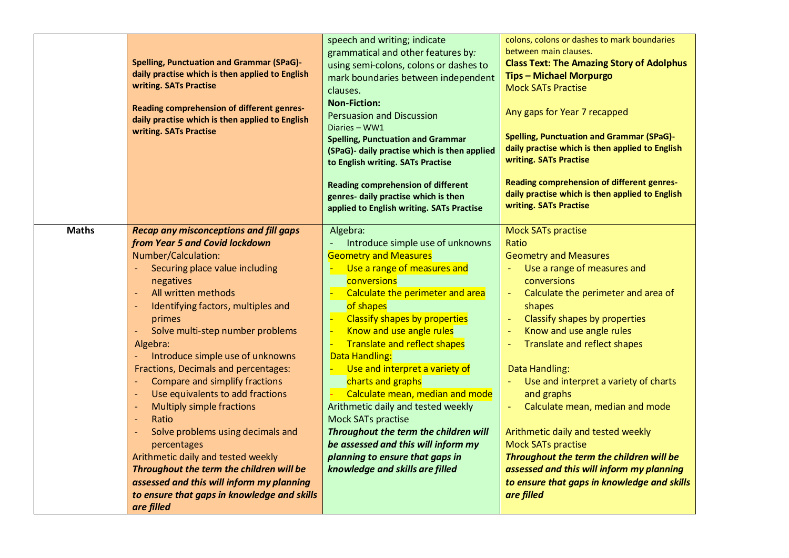|              | <b>Spelling, Punctuation and Grammar (SPaG)-</b><br>daily practise which is then applied to English<br>writing. SATs Practise<br>Reading comprehension of different genres-<br>daily practise which is then applied to English<br>writing. SATs Practise                                                                                                                                                                                                                                                                                                                                                                                                                                                                                                                        | speech and writing; indicate<br>grammatical and other features by:<br>using semi-colons, colons or dashes to<br>mark boundaries between independent<br>clauses.<br><b>Non-Fiction:</b><br><b>Persuasion and Discussion</b><br>Diaries - WW1<br><b>Spelling, Punctuation and Grammar</b><br>(SPaG)- daily practise which is then applied<br>to English writing. SATs Practise<br><b>Reading comprehension of different</b><br>genres- daily practise which is then<br>applied to English writing. SATs Practise                                                                                                | colons, colons or dashes to mark boundaries<br>between main clauses.<br><b>Class Text: The Amazing Story of Adolphus</b><br><b>Tips - Michael Morpurgo</b><br><b>Mock SATs Practise</b><br>Any gaps for Year 7 recapped<br><b>Spelling, Punctuation and Grammar (SPaG)-</b><br>daily practise which is then applied to English<br>writing. SATs Practise<br>Reading comprehension of different genres-<br>daily practise which is then applied to English<br>writing. SATs Practise                                                                                                                                          |
|--------------|---------------------------------------------------------------------------------------------------------------------------------------------------------------------------------------------------------------------------------------------------------------------------------------------------------------------------------------------------------------------------------------------------------------------------------------------------------------------------------------------------------------------------------------------------------------------------------------------------------------------------------------------------------------------------------------------------------------------------------------------------------------------------------|---------------------------------------------------------------------------------------------------------------------------------------------------------------------------------------------------------------------------------------------------------------------------------------------------------------------------------------------------------------------------------------------------------------------------------------------------------------------------------------------------------------------------------------------------------------------------------------------------------------|------------------------------------------------------------------------------------------------------------------------------------------------------------------------------------------------------------------------------------------------------------------------------------------------------------------------------------------------------------------------------------------------------------------------------------------------------------------------------------------------------------------------------------------------------------------------------------------------------------------------------|
| <b>Maths</b> | <b>Recap any misconceptions and fill gaps</b><br>from Year 5 and Covid lockdown<br>Number/Calculation:<br>Securing place value including<br>negatives<br>All written methods<br>$\blacksquare$<br>Identifying factors, multiples and<br>primes<br>Solve multi-step number problems<br>Algebra:<br>Introduce simple use of unknowns<br>Fractions, Decimals and percentages:<br>Compare and simplify fractions<br>Use equivalents to add fractions<br>$\overline{\phantom{a}}$<br><b>Multiply simple fractions</b><br>Ratio<br>÷,<br>Solve problems using decimals and<br>percentages<br>Arithmetic daily and tested weekly<br>Throughout the term the children will be<br>assessed and this will inform my planning<br>to ensure that gaps in knowledge and skills<br>are filled | Algebra:<br>Introduce simple use of unknowns<br><b>Geometry and Measures</b><br>Use a range of measures and<br>conversions<br>Calculate the perimeter and area<br>of shapes<br>Classify shapes by properties<br>Know and use angle rules<br><b>Translate and reflect shapes</b><br>Data Handling:<br>Use and interpret a variety of<br>charts and graphs<br>Calculate mean, median and mode<br>Arithmetic daily and tested weekly<br>Mock SATs practise<br>Throughout the term the children will<br>be assessed and this will inform my<br>planning to ensure that gaps in<br>knowledge and skills are filled | <b>Mock SATs practise</b><br>Ratio<br><b>Geometry and Measures</b><br>Use a range of measures and<br>conversions<br>Calculate the perimeter and area of<br>shapes<br>Classify shapes by properties<br>$\equiv$<br>Know and use angle rules<br>÷,<br>Translate and reflect shapes<br><b>Data Handling:</b><br>Use and interpret a variety of charts<br>and graphs<br>Calculate mean, median and mode<br>Arithmetic daily and tested weekly<br><b>Mock SATs practise</b><br>Throughout the term the children will be<br>assessed and this will inform my planning<br>to ensure that gaps in knowledge and skills<br>are filled |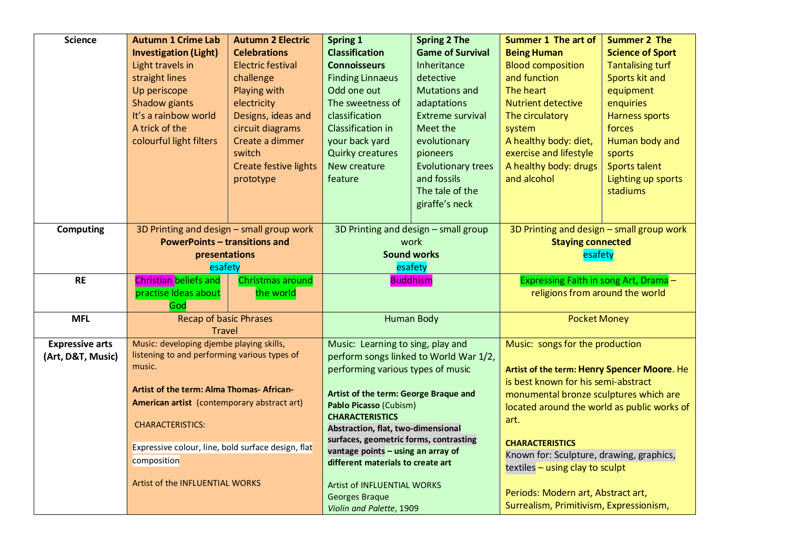| <b>Science</b>         | <b>Autumn 1 Crime Lab</b>                          | <b>Autumn 2 Electric</b>     | <b>Spring 1</b>                                                         | <b>Spring 2 The</b>                    | <b>Summer 1 The art of</b>                                                    | <b>Summer 2 The</b>     |
|------------------------|----------------------------------------------------|------------------------------|-------------------------------------------------------------------------|----------------------------------------|-------------------------------------------------------------------------------|-------------------------|
|                        | <b>Investigation (Light)</b>                       | <b>Celebrations</b>          | <b>Classification</b>                                                   | <b>Game of Survival</b>                | <b>Being Human</b>                                                            | <b>Science of Sport</b> |
|                        | Light travels in                                   | <b>Electric festival</b>     | <b>Connoisseurs</b>                                                     | Inheritance                            | <b>Blood composition</b>                                                      | <b>Tantalising turf</b> |
|                        | straight lines                                     | challenge                    | <b>Finding Linnaeus</b>                                                 | detective                              | and function                                                                  | Sports kit and          |
|                        | Up periscope                                       | Playing with                 | Odd one out                                                             | <b>Mutations and</b>                   | <b>The heart</b>                                                              | equipment               |
|                        | Shadow giants                                      | electricity                  | The sweetness of                                                        | adaptations                            | <b>Nutrient detective</b>                                                     | enquiries               |
|                        | It's a rainbow world                               | Designs, ideas and           | classification                                                          | <b>Extreme survival</b>                | The circulatory                                                               | <b>Harness sports</b>   |
|                        | A trick of the                                     | circuit diagrams             | Classification in                                                       | Meet the                               | system                                                                        | forces                  |
|                        | colourful light filters                            | Create a dimmer              | your back yard                                                          | evolutionary                           | A healthy body: diet,                                                         | Human body and          |
|                        |                                                    | switch                       | <b>Quirky creatures</b>                                                 | pioneers                               | exercise and lifestyle                                                        | sports                  |
|                        |                                                    | <b>Create festive lights</b> | New creature                                                            | <b>Evolutionary trees</b>              | A healthy body: drugs                                                         | Sports talent           |
|                        |                                                    | prototype                    | feature                                                                 | and fossils                            | and alcohol                                                                   | Lighting up sports      |
|                        |                                                    |                              |                                                                         | The tale of the                        |                                                                               | stadiums                |
|                        |                                                    |                              |                                                                         | giraffe's neck                         |                                                                               |                         |
|                        |                                                    |                              |                                                                         |                                        |                                                                               |                         |
| <b>Computing</b>       | 3D Printing and design - small group work          |                              | 3D Printing and design - small group                                    |                                        | 3D Printing and design - small group work                                     |                         |
|                        | <b>PowerPoints - transitions and</b>               |                              | work                                                                    |                                        | <b>Staying connected</b>                                                      |                         |
|                        | presentations                                      |                              | <b>Sound works</b>                                                      |                                        | esafety                                                                       |                         |
|                        | esafety                                            |                              | esafety                                                                 |                                        |                                                                               |                         |
|                        |                                                    |                              |                                                                         |                                        |                                                                               |                         |
| <b>RE</b>              | <b>Christian beliefs and</b>                       | Christmas around             |                                                                         | <b>Buddhism</b>                        | Expressing Faith in song Art, Drama-                                          |                         |
|                        | practise Ideas about                               | the world                    |                                                                         |                                        | religions from around the world                                               |                         |
|                        | God                                                |                              |                                                                         |                                        |                                                                               |                         |
| <b>MFL</b>             | <b>Recap of basic Phrases</b>                      |                              |                                                                         | <b>Human Body</b>                      | <b>Pocket Money</b>                                                           |                         |
|                        | <b>Travel</b>                                      |                              |                                                                         |                                        |                                                                               |                         |
| <b>Expressive arts</b> | Music: developing djembe playing skills,           |                              | Music: Learning to sing, play and                                       |                                        | Music: songs for the production                                               |                         |
| (Art, D&T, Music)      | listening to and performing various types of       |                              |                                                                         | perform songs linked to World War 1/2, |                                                                               |                         |
|                        | music.                                             |                              | performing various types of music                                       |                                        | Artist of the term: Henry Spencer Moore. He                                   |                         |
|                        |                                                    |                              |                                                                         |                                        | is best known for his semi-abstract                                           |                         |
|                        | <b>Artist of the term: Alma Thomas- African-</b>   |                              | Artist of the term: George Braque and                                   |                                        | monumental bronze sculptures which are                                        |                         |
|                        | American artist (contemporary abstract art)        |                              | Pablo Picasso (Cubism)                                                  |                                        | located around the world as public works of                                   |                         |
|                        | <b>CHARACTERISTICS:</b>                            |                              | <b>CHARACTERISTICS</b>                                                  |                                        | art.                                                                          |                         |
|                        |                                                    |                              | Abstraction, flat, two-dimensional                                      |                                        |                                                                               |                         |
|                        | Expressive colour, line, bold surface design, flat |                              | surfaces, geometric forms, contrasting                                  |                                        | <b>CHARACTERISTICS</b>                                                        |                         |
|                        | composition                                        |                              | vantage points - using an array of<br>different materials to create art |                                        | Known for: Sculpture, drawing, graphics,                                      |                         |
|                        |                                                    |                              |                                                                         |                                        | textiles - using clay to sculpt                                               |                         |
|                        | Artist of the INFLUENTIAL WORKS                    |                              | Artist of INFLUENTIAL WORKS                                             |                                        |                                                                               |                         |
|                        |                                                    |                              | Georges Braque<br>Violin and Palette, 1909                              |                                        | Periods: Modern art, Abstract art,<br>Surrealism, Primitivism, Expressionism, |                         |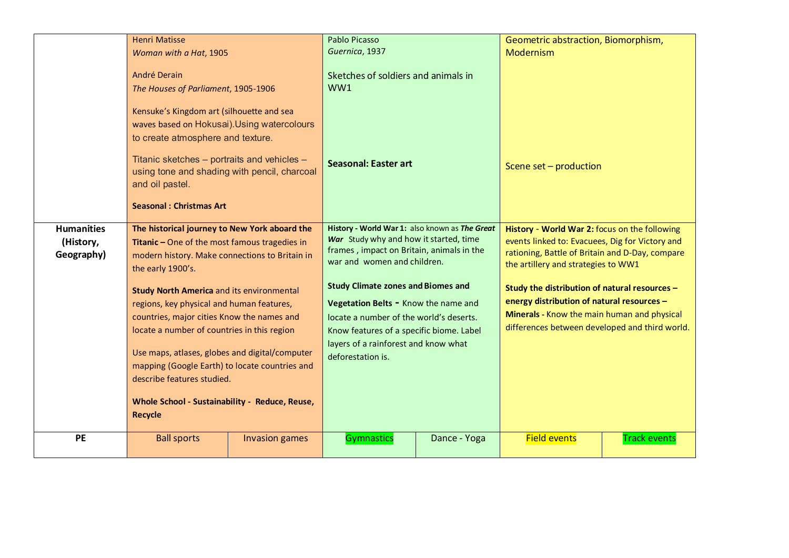| Guernica, 1937<br>Modernism<br>Woman with a Hat, 1905<br>André Derain<br>Sketches of soldiers and animals in<br>WW1<br>The Houses of Parliament, 1905-1906<br>Kensuke's Kingdom art (silhouette and sea<br>waves based on Hokusai). Using watercolours<br>to create atmosphere and texture.<br>Titanic sketches - portraits and vehicles -<br><b>Seasonal: Easter art</b><br>Scene set - production<br>using tone and shading with pencil, charcoal<br>and oil pastel.<br><b>Seasonal: Christmas Art</b><br>History - World War 1: also known as The Great<br><b>Humanities</b><br>The historical journey to New York aboard the<br>History - World War 2: focus on the following<br>War Study why and how it started, time<br>events linked to: Evacuees, Dig for Victory and<br>Titanic - One of the most famous tragedies in<br>(History,<br>frames, impact on Britain, animals in the<br>rationing, Battle of Britain and D-Day, compare<br>Geography)<br>modern history. Make connections to Britain in<br>war and women and children.<br>the artillery and strategies to WW1<br>the early 1900's.<br><b>Study Climate zones and Biomes and</b><br>Study the distribution of natural resources -<br><b>Study North America and its environmental</b><br>energy distribution of natural resources -<br>Vegetation Belts - Know the name and<br>regions, key physical and human features,<br>Minerals - Know the main human and physical<br>countries, major cities Know the names and<br>locate a number of the world's deserts.<br>differences between developed and third world.<br>locate a number of countries in this region<br>Know features of a specific biome. Label<br>layers of a rainforest and know what<br>Use maps, atlases, globes and digital/computer<br>deforestation is. |  | <b>Henri Matisse</b>                                                                                                                             |  | <b>Pablo Picasso</b> |  | Geometric abstraction, Biomorphism, |  |
|--------------------------------------------------------------------------------------------------------------------------------------------------------------------------------------------------------------------------------------------------------------------------------------------------------------------------------------------------------------------------------------------------------------------------------------------------------------------------------------------------------------------------------------------------------------------------------------------------------------------------------------------------------------------------------------------------------------------------------------------------------------------------------------------------------------------------------------------------------------------------------------------------------------------------------------------------------------------------------------------------------------------------------------------------------------------------------------------------------------------------------------------------------------------------------------------------------------------------------------------------------------------------------------------------------------------------------------------------------------------------------------------------------------------------------------------------------------------------------------------------------------------------------------------------------------------------------------------------------------------------------------------------------------------------------------------------------------------------------------------------------------------------------------------------|--|--------------------------------------------------------------------------------------------------------------------------------------------------|--|----------------------|--|-------------------------------------|--|
|                                                                                                                                                                                                                                                                                                                                                                                                                                                                                                                                                                                                                                                                                                                                                                                                                                                                                                                                                                                                                                                                                                                                                                                                                                                                                                                                                                                                                                                                                                                                                                                                                                                                                                                                                                                                  |  |                                                                                                                                                  |  |                      |  |                                     |  |
|                                                                                                                                                                                                                                                                                                                                                                                                                                                                                                                                                                                                                                                                                                                                                                                                                                                                                                                                                                                                                                                                                                                                                                                                                                                                                                                                                                                                                                                                                                                                                                                                                                                                                                                                                                                                  |  |                                                                                                                                                  |  |                      |  |                                     |  |
|                                                                                                                                                                                                                                                                                                                                                                                                                                                                                                                                                                                                                                                                                                                                                                                                                                                                                                                                                                                                                                                                                                                                                                                                                                                                                                                                                                                                                                                                                                                                                                                                                                                                                                                                                                                                  |  |                                                                                                                                                  |  |                      |  |                                     |  |
|                                                                                                                                                                                                                                                                                                                                                                                                                                                                                                                                                                                                                                                                                                                                                                                                                                                                                                                                                                                                                                                                                                                                                                                                                                                                                                                                                                                                                                                                                                                                                                                                                                                                                                                                                                                                  |  |                                                                                                                                                  |  |                      |  |                                     |  |
|                                                                                                                                                                                                                                                                                                                                                                                                                                                                                                                                                                                                                                                                                                                                                                                                                                                                                                                                                                                                                                                                                                                                                                                                                                                                                                                                                                                                                                                                                                                                                                                                                                                                                                                                                                                                  |  |                                                                                                                                                  |  |                      |  |                                     |  |
|                                                                                                                                                                                                                                                                                                                                                                                                                                                                                                                                                                                                                                                                                                                                                                                                                                                                                                                                                                                                                                                                                                                                                                                                                                                                                                                                                                                                                                                                                                                                                                                                                                                                                                                                                                                                  |  | mapping (Google Earth) to locate countries and<br>describe features studied.<br>Whole School - Sustainability - Reduce, Reuse,<br><b>Recycle</b> |  |                      |  |                                     |  |
|                                                                                                                                                                                                                                                                                                                                                                                                                                                                                                                                                                                                                                                                                                                                                                                                                                                                                                                                                                                                                                                                                                                                                                                                                                                                                                                                                                                                                                                                                                                                                                                                                                                                                                                                                                                                  |  |                                                                                                                                                  |  |                      |  |                                     |  |
|                                                                                                                                                                                                                                                                                                                                                                                                                                                                                                                                                                                                                                                                                                                                                                                                                                                                                                                                                                                                                                                                                                                                                                                                                                                                                                                                                                                                                                                                                                                                                                                                                                                                                                                                                                                                  |  |                                                                                                                                                  |  |                      |  |                                     |  |
|                                                                                                                                                                                                                                                                                                                                                                                                                                                                                                                                                                                                                                                                                                                                                                                                                                                                                                                                                                                                                                                                                                                                                                                                                                                                                                                                                                                                                                                                                                                                                                                                                                                                                                                                                                                                  |  |                                                                                                                                                  |  |                      |  |                                     |  |
|                                                                                                                                                                                                                                                                                                                                                                                                                                                                                                                                                                                                                                                                                                                                                                                                                                                                                                                                                                                                                                                                                                                                                                                                                                                                                                                                                                                                                                                                                                                                                                                                                                                                                                                                                                                                  |  |                                                                                                                                                  |  |                      |  |                                     |  |
|                                                                                                                                                                                                                                                                                                                                                                                                                                                                                                                                                                                                                                                                                                                                                                                                                                                                                                                                                                                                                                                                                                                                                                                                                                                                                                                                                                                                                                                                                                                                                                                                                                                                                                                                                                                                  |  |                                                                                                                                                  |  |                      |  |                                     |  |
|                                                                                                                                                                                                                                                                                                                                                                                                                                                                                                                                                                                                                                                                                                                                                                                                                                                                                                                                                                                                                                                                                                                                                                                                                                                                                                                                                                                                                                                                                                                                                                                                                                                                                                                                                                                                  |  |                                                                                                                                                  |  |                      |  |                                     |  |
|                                                                                                                                                                                                                                                                                                                                                                                                                                                                                                                                                                                                                                                                                                                                                                                                                                                                                                                                                                                                                                                                                                                                                                                                                                                                                                                                                                                                                                                                                                                                                                                                                                                                                                                                                                                                  |  |                                                                                                                                                  |  |                      |  |                                     |  |
|                                                                                                                                                                                                                                                                                                                                                                                                                                                                                                                                                                                                                                                                                                                                                                                                                                                                                                                                                                                                                                                                                                                                                                                                                                                                                                                                                                                                                                                                                                                                                                                                                                                                                                                                                                                                  |  |                                                                                                                                                  |  |                      |  |                                     |  |
|                                                                                                                                                                                                                                                                                                                                                                                                                                                                                                                                                                                                                                                                                                                                                                                                                                                                                                                                                                                                                                                                                                                                                                                                                                                                                                                                                                                                                                                                                                                                                                                                                                                                                                                                                                                                  |  |                                                                                                                                                  |  |                      |  |                                     |  |
|                                                                                                                                                                                                                                                                                                                                                                                                                                                                                                                                                                                                                                                                                                                                                                                                                                                                                                                                                                                                                                                                                                                                                                                                                                                                                                                                                                                                                                                                                                                                                                                                                                                                                                                                                                                                  |  |                                                                                                                                                  |  |                      |  |                                     |  |
| PE<br><b>Field events</b><br><b>Ball sports</b><br>Gymnastics<br>Dance - Yoga<br><b>Track events</b><br><b>Invasion games</b>                                                                                                                                                                                                                                                                                                                                                                                                                                                                                                                                                                                                                                                                                                                                                                                                                                                                                                                                                                                                                                                                                                                                                                                                                                                                                                                                                                                                                                                                                                                                                                                                                                                                    |  |                                                                                                                                                  |  |                      |  |                                     |  |